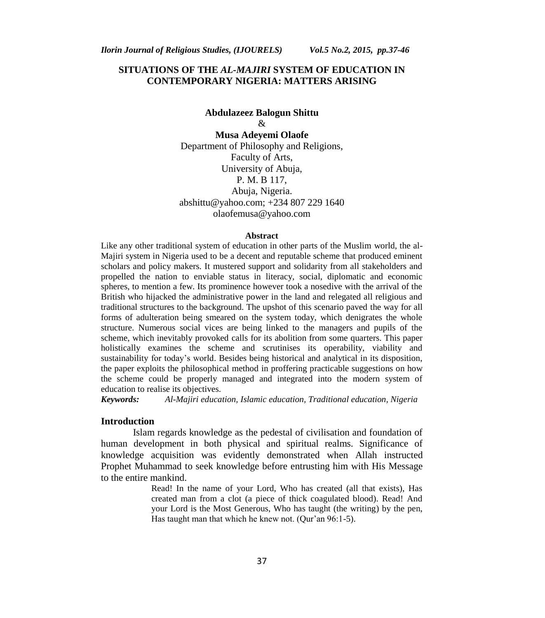## **SITUATIONS OF THE** *AL-MAJIRI* **SYSTEM OF EDUCATION IN CONTEMPORARY NIGERIA: MATTERS ARISING**

# **Abdulazeez Balogun Shittu** &

**Musa Adeyemi Olaofe** Department of Philosophy and Religions, Faculty of Arts, University of Abuja, P. M. B 117, Abuja, Nigeria. abshittu@yahoo.com; +234 807 229 1640 olaofemusa@yahoo.com

#### **Abstract**

Like any other traditional system of education in other parts of the Muslim world, the al-Majiri system in Nigeria used to be a decent and reputable scheme that produced eminent scholars and policy makers. It mustered support and solidarity from all stakeholders and propelled the nation to enviable status in literacy, social, diplomatic and economic spheres, to mention a few. Its prominence however took a nosedive with the arrival of the British who hijacked the administrative power in the land and relegated all religious and traditional structures to the background. The upshot of this scenario paved the way for all forms of adulteration being smeared on the system today, which denigrates the whole structure. Numerous social vices are being linked to the managers and pupils of the scheme, which inevitably provoked calls for its abolition from some quarters. This paper holistically examines the scheme and scrutinises its operability, viability and sustainability for today"s world. Besides being historical and analytical in its disposition, the paper exploits the philosophical method in proffering practicable suggestions on how the scheme could be properly managed and integrated into the modern system of education to realise its objectives.

*Keywords: Al-Majiri education, Islamic education, Traditional education, Nigeria* 

## **Introduction**

Islam regards knowledge as the pedestal of civilisation and foundation of human development in both physical and spiritual realms. Significance of knowledge acquisition was evidently demonstrated when Allah instructed Prophet Muhammad to seek knowledge before entrusting him with His Message to the entire mankind.

> Read! In the name of your Lord, Who has created (all that exists), Has created man from a clot (a piece of thick coagulated blood). Read! And your Lord is the Most Generous, Who has taught (the writing) by the pen, Has taught man that which he knew not. (Qur'an 96:1-5).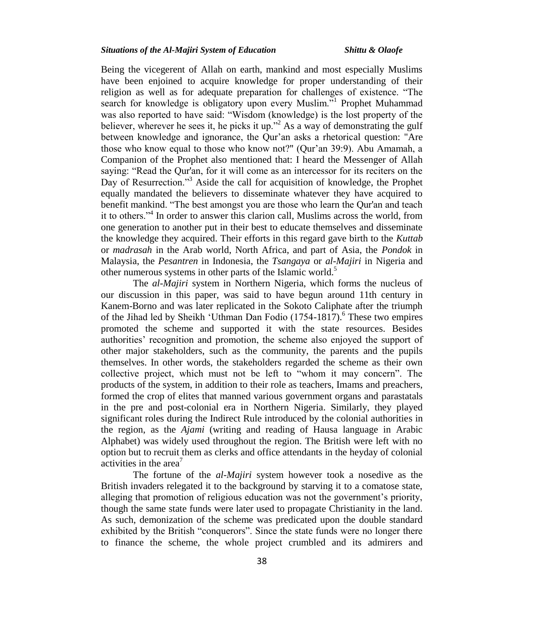#### *Situations of the Al-Majiri System of Education Shittu & Olaofe*

Being the vicegerent of Allah on earth, mankind and most especially Muslims have been enjoined to acquire knowledge for proper understanding of their religion as well as for adequate preparation for challenges of existence. "The search for knowledge is obligatory upon every Muslim."<sup>1</sup> Prophet Muhammad was also reported to have said: "Wisdom (knowledge) is the lost property of the believer, wherever he sees it, he picks it up."<sup>2</sup> As a way of demonstrating the gulf between knowledge and ignorance, the Qur'an asks a rhetorical question: "Are those who know equal to those who know not?" (Qur"an 39:9). Abu Amamah, a Companion of the Prophet also mentioned that: I heard the Messenger of Allah saying: "Read the Qur'an, for it will come as an intercessor for its reciters on the Day of Resurrection."<sup>3</sup> Aside the call for acquisition of knowledge, the Prophet equally mandated the believers to disseminate whatever they have acquired to benefit mankind. "The best amongst you are those who learn the Qur'an and teach it to others."<sup>4</sup> In order to answer this clarion call, Muslims across the world, from one generation to another put in their best to educate themselves and disseminate the knowledge they acquired. Their efforts in this regard gave birth to the *Kuttab*  or *madrasah* in the Arab world, North Africa, and part of Asia, the *Pondok* in Malaysia, the *Pesantren* in Indonesia, the *Tsangaya* or *al-Majiri* in Nigeria and other numerous systems in other parts of the Islamic world.<sup>5</sup>

The *al-Majiri* system in Northern Nigeria, which forms the nucleus of our discussion in this paper, was said to have begun around 11th century in Kanem-Borno and was later replicated in the Sokoto Caliphate after the triumph of the Jihad led by Sheikh 'Uthman Dan Fodio  $(1754-1817)$ .<sup>6</sup> These two empires promoted the scheme and supported it with the state resources. Besides authorities" recognition and promotion, the scheme also enjoyed the support of other major stakeholders, such as the community, the parents and the pupils themselves. In other words, the stakeholders regarded the scheme as their own collective project, which must not be left to "whom it may concern". The products of the system, in addition to their role as teachers, Imams and preachers, formed the crop of elites that manned various government organs and parastatals in the pre and post-colonial era in Northern Nigeria. Similarly, they played significant roles during the Indirect Rule introduced by the colonial authorities in the region, as the *Ajami* (writing and reading of Hausa language in Arabic Alphabet) was widely used throughout the region. The British were left with no option but to recruit them as clerks and office attendants in the heyday of colonial activities in the area<sup> $7$ </sup>

The fortune of the *al-Majiri* system however took a nosedive as the British invaders relegated it to the background by starving it to a comatose state, alleging that promotion of religious education was not the government"s priority, though the same state funds were later used to propagate Christianity in the land. As such, demonization of the scheme was predicated upon the double standard exhibited by the British "conquerors". Since the state funds were no longer there to finance the scheme, the whole project crumbled and its admirers and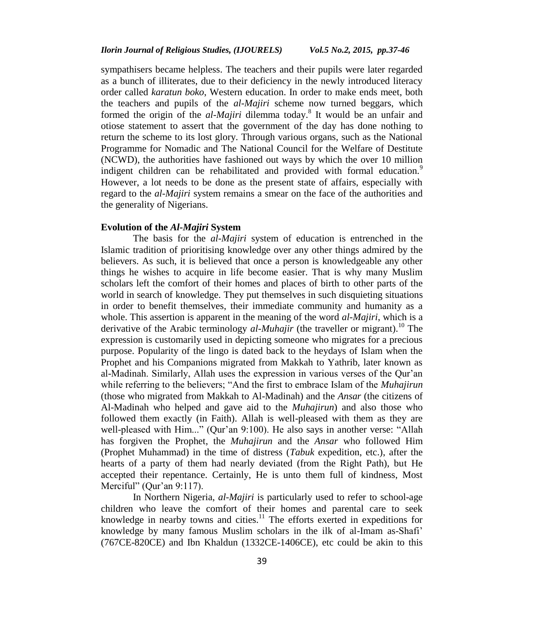sympathisers became helpless. The teachers and their pupils were later regarded as a bunch of illiterates, due to their deficiency in the newly introduced literacy order called *karatun boko*, Western education. In order to make ends meet, both the teachers and pupils of the *al-Majiri* scheme now turned beggars, which formed the origin of the *al-Majiri* dilemma today. 8 It would be an unfair and otiose statement to assert that the government of the day has done nothing to return the scheme to its lost glory. Through various organs, such as the National Programme for Nomadic and The National Council for the Welfare of Destitute (NCWD), the authorities have fashioned out ways by which the over 10 million indigent children can be rehabilitated and provided with formal education.<sup>9</sup> However, a lot needs to be done as the present state of affairs, especially with regard to the *al-Majiri* system remains a smear on the face of the authorities and the generality of Nigerians.

#### **Evolution of the** *Al-Majiri* **System**

The basis for the *al-Majiri* system of education is entrenched in the Islamic tradition of prioritising knowledge over any other things admired by the believers. As such, it is believed that once a person is knowledgeable any other things he wishes to acquire in life become easier. That is why many Muslim scholars left the comfort of their homes and places of birth to other parts of the world in search of knowledge. They put themselves in such disquieting situations in order to benefit themselves, their immediate community and humanity as a whole. This assertion is apparent in the meaning of the word *al-Majiri*, which is a derivative of the Arabic terminology  $al$ -*Muhajir* (the traveller or migrant).<sup>10</sup> The expression is customarily used in depicting someone who migrates for a precious purpose. Popularity of the lingo is dated back to the heydays of Islam when the Prophet and his Companions migrated from Makkah to Yathrib, later known as al-Madinah. Similarly, Allah uses the expression in various verses of the Qur"an while referring to the believers; "And the first to embrace Islam of the *Muhajirun* (those who migrated from Makkah to Al-Madinah) and the *Ansar* (the citizens of Al-Madinah who helped and gave aid to the *Muhajirun*) and also those who followed them exactly (in Faith). Allah is well-pleased with them as they are well-pleased with Him..." (Qur'an 9:100). He also says in another verse: "Allah has forgiven the Prophet, the *Muhajirun* and the *Ansar* who followed Him (Prophet Muhammad) in the time of distress (*Tabuk* expedition, etc.), after the hearts of a party of them had nearly deviated (from the Right Path), but He accepted their repentance. Certainly, He is unto them full of kindness, Most Merciful" (Qur'an  $9:117$ ).

In Northern Nigeria, *al-Majiri* is particularly used to refer to school-age children who leave the comfort of their homes and parental care to seek knowledge in nearby towns and cities.<sup>11</sup> The efforts exerted in expeditions for knowledge by many famous Muslim scholars in the ilk of al-Imam as-Shafi" (767CE-820CE) and Ibn Khaldun (1332CE-1406CE), etc could be akin to this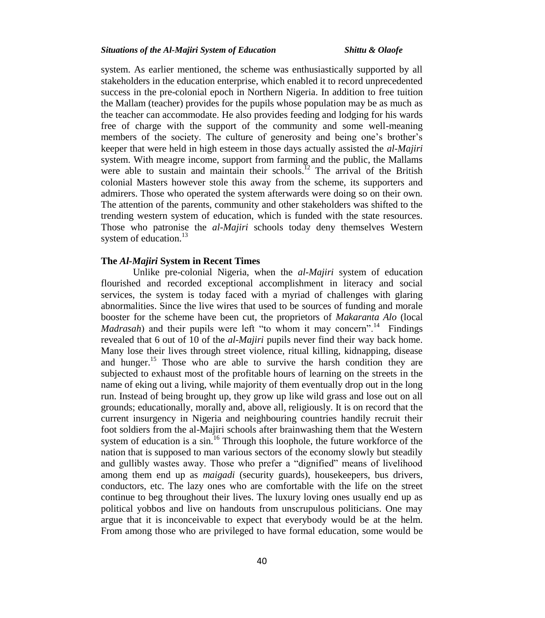system. As earlier mentioned, the scheme was enthusiastically supported by all stakeholders in the education enterprise, which enabled it to record unprecedented success in the pre-colonial epoch in Northern Nigeria. In addition to free tuition the Mallam (teacher) provides for the pupils whose population may be as much as the teacher can accommodate. He also provides feeding and lodging for his wards free of charge with the support of the community and some well-meaning members of the society. The culture of generosity and being one's brother's keeper that were held in high esteem in those days actually assisted the *al-Majiri* system. With meagre income, support from farming and the public, the Mallams were able to sustain and maintain their schools.<sup>12</sup> The arrival of the British colonial Masters however stole this away from the scheme, its supporters and admirers. Those who operated the system afterwards were doing so on their own. The attention of the parents, community and other stakeholders was shifted to the trending western system of education, which is funded with the state resources. Those who patronise the *al-Majiri* schools today deny themselves Western system of education.<sup>13</sup>

## **The** *Al-Majiri* **System in Recent Times**

Unlike pre-colonial Nigeria, when the *al-Majiri* system of education flourished and recorded exceptional accomplishment in literacy and social services, the system is today faced with a myriad of challenges with glaring abnormalities. Since the live wires that used to be sources of funding and morale booster for the scheme have been cut, the proprietors of *Makaranta Alo* (local *Madrasah*) and their pupils were left "to whom it may concern".<sup>14</sup> Findings revealed that 6 out of 10 of the *al-Majiri* pupils never find their way back home. Many lose their lives through street violence, ritual killing, kidnapping, disease and hunger.<sup>15</sup> Those who are able to survive the harsh condition they are subjected to exhaust most of the profitable hours of learning on the streets in the name of eking out a living, while majority of them eventually drop out in the long run. Instead of being brought up, they grow up like wild grass and lose out on all grounds; educationally, morally and, above all, religiously. It is on record that the current insurgency in Nigeria and neighbouring countries handily recruit their foot soldiers from the al-Majiri schools after brainwashing them that the Western system of education is a sin.<sup>16</sup> Through this loophole, the future workforce of the nation that is supposed to man various sectors of the economy slowly but steadily and gullibly wastes away. Those who prefer a "dignified" means of livelihood among them end up as *maigadi* (security guards), housekeepers, bus drivers, conductors, etc. The lazy ones who are comfortable with the life on the street continue to beg throughout their lives. The luxury loving ones usually end up as political yobbos and live on handouts from unscrupulous politicians. One may argue that it is inconceivable to expect that everybody would be at the helm. From among those who are privileged to have formal education, some would be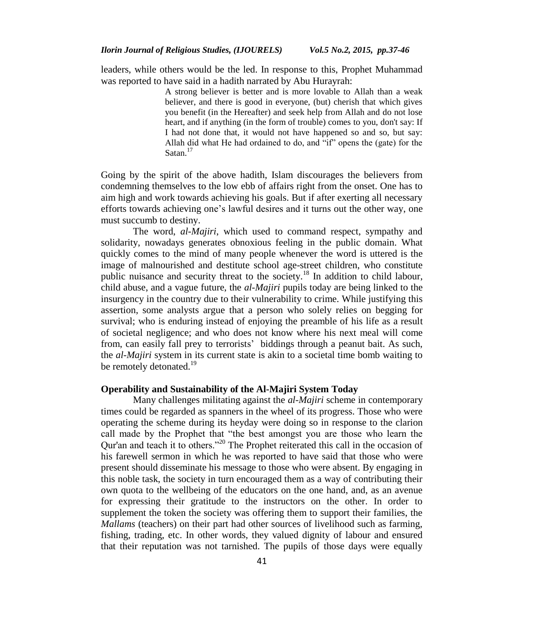leaders, while others would be the led. In response to this, Prophet Muhammad was reported to have said in a hadith narrated by Abu Hurayrah:

> A strong believer is better and is more lovable to Allah than a weak believer, and there is good in everyone, (but) cherish that which gives you benefit (in the Hereafter) and seek help from Allah and do not lose heart, and if anything (in the form of trouble) comes to you, don't say: If I had not done that, it would not have happened so and so, but say: Allah did what He had ordained to do, and "if" opens the (gate) for the Satan.<sup>17</sup>

Going by the spirit of the above hadith, Islam discourages the believers from condemning themselves to the low ebb of affairs right from the onset. One has to aim high and work towards achieving his goals. But if after exerting all necessary efforts towards achieving one"s lawful desires and it turns out the other way, one must succumb to destiny.

The word, *al-Majiri*, which used to command respect, sympathy and solidarity, nowadays generates obnoxious feeling in the public domain. What quickly comes to the mind of many people whenever the word is uttered is the image of malnourished and destitute school age-street children, who constitute public nuisance and security threat to the society.<sup>18</sup> In addition to child labour, child abuse, and a vague future, the *al-Majiri* pupils today are being linked to the insurgency in the country due to their vulnerability to crime. While justifying this assertion, some analysts argue that a person who solely relies on begging for survival; who is enduring instead of enjoying the preamble of his life as a result of societal negligence; and who does not know where his next meal will come from, can easily fall prey to terrorists" biddings through a peanut bait. As such, the *al-Majiri* system in its current state is akin to a societal time bomb waiting to be remotely detonated.<sup>19</sup>

#### **Operability and Sustainability of the Al-Majiri System Today**

Many challenges militating against the *al-Majiri* scheme in contemporary times could be regarded as spanners in the wheel of its progress. Those who were operating the scheme during its heyday were doing so in response to the clarion call made by the Prophet that "the best amongst you are those who learn the Qur'an and teach it to others."<sup>20</sup> The Prophet reiterated this call in the occasion of his farewell sermon in which he was reported to have said that those who were present should disseminate his message to those who were absent. By engaging in this noble task, the society in turn encouraged them as a way of contributing their own quota to the wellbeing of the educators on the one hand, and, as an avenue for expressing their gratitude to the instructors on the other. In order to supplement the token the society was offering them to support their families, the *Mallams* (teachers) on their part had other sources of livelihood such as farming, fishing, trading, etc. In other words, they valued dignity of labour and ensured that their reputation was not tarnished. The pupils of those days were equally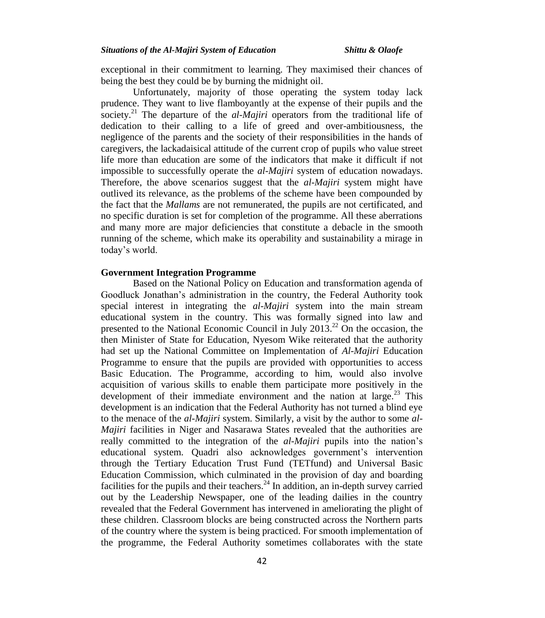exceptional in their commitment to learning. They maximised their chances of being the best they could be by burning the midnight oil.

Unfortunately, majority of those operating the system today lack prudence. They want to live flamboyantly at the expense of their pupils and the society.<sup>21</sup> The departure of the *al-Majiri* operators from the traditional life of dedication to their calling to a life of greed and over-ambitiousness, the negligence of the parents and the society of their responsibilities in the hands of caregivers, the lackadaisical attitude of the current crop of pupils who value street life more than education are some of the indicators that make it difficult if not impossible to successfully operate the *al-Majiri* system of education nowadays. Therefore, the above scenarios suggest that the *al-Majiri* system might have outlived its relevance, as the problems of the scheme have been compounded by the fact that the *Mallams* are not remunerated, the pupils are not certificated, and no specific duration is set for completion of the programme. All these aberrations and many more are major deficiencies that constitute a debacle in the smooth running of the scheme, which make its operability and sustainability a mirage in today"s world.

### **Government Integration Programme**

Based on the National Policy on Education and transformation agenda of Goodluck Jonathan"s administration in the country, the Federal Authority took special interest in integrating the *al-Majiri* system into the main stream educational system in the country. This was formally signed into law and presented to the National Economic Council in July  $2013<sup>22</sup>$  On the occasion, the then Minister of State for Education, Nyesom Wike reiterated that the authority had set up the National Committee on Implementation of *Al-Majiri* Education Programme to ensure that the pupils are provided with opportunities to access Basic Education. The Programme, according to him, would also involve acquisition of various skills to enable them participate more positively in the development of their immediate environment and the nation at large.<sup>23</sup> This development is an indication that the Federal Authority has not turned a blind eye to the menace of the *al-Majiri* system. Similarly, a visit by the author to some *al-Majiri* facilities in Niger and Nasarawa States revealed that the authorities are really committed to the integration of the *al-Majiri* pupils into the nation"s educational system. Quadri also acknowledges government"s intervention through the Tertiary Education Trust Fund (TETfund) and Universal Basic Education Commission, which culminated in the provision of day and boarding facilities for the pupils and their teachers.<sup>24</sup> In addition, an in-depth survey carried out by the Leadership Newspaper, one of the leading dailies in the country revealed that the Federal Government has intervened in ameliorating the plight of these children. Classroom blocks are being constructed across the Northern parts of the country where the system is being practiced. For smooth implementation of the programme, the Federal Authority sometimes collaborates with the state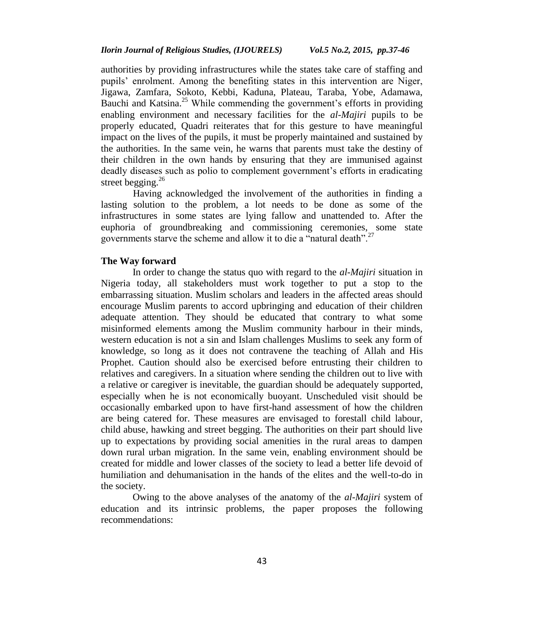authorities by providing infrastructures while the states take care of staffing and pupils" enrolment. Among the benefiting states in this intervention are Niger, Jigawa, Zamfara, Sokoto, Kebbi, Kaduna, Plateau, Taraba, Yobe, Adamawa, Bauchi and Katsina.<sup>25</sup> While commending the government's efforts in providing enabling environment and necessary facilities for the *al-Majiri* pupils to be properly educated, Quadri reiterates that for this gesture to have meaningful impact on the lives of the pupils, it must be properly maintained and sustained by the authorities. In the same vein, he warns that parents must take the destiny of their children in the own hands by ensuring that they are immunised against deadly diseases such as polio to complement government"s efforts in eradicating street begging.<sup>26</sup>

Having acknowledged the involvement of the authorities in finding a lasting solution to the problem, a lot needs to be done as some of the infrastructures in some states are lying fallow and unattended to. After the euphoria of groundbreaking and commissioning ceremonies, some state governments starve the scheme and allow it to die a "natural death".<sup>27</sup>

#### **The Way forward**

In order to change the status quo with regard to the *al-Majiri* situation in Nigeria today, all stakeholders must work together to put a stop to the embarrassing situation. Muslim scholars and leaders in the affected areas should encourage Muslim parents to accord upbringing and education of their children adequate attention. They should be educated that contrary to what some misinformed elements among the Muslim community harbour in their minds, western education is not a sin and Islam challenges Muslims to seek any form of knowledge, so long as it does not contravene the teaching of Allah and His Prophet. Caution should also be exercised before entrusting their children to relatives and caregivers. In a situation where sending the children out to live with a relative or caregiver is inevitable, the guardian should be adequately supported, especially when he is not economically buoyant. Unscheduled visit should be occasionally embarked upon to have first-hand assessment of how the children are being catered for. These measures are envisaged to forestall child labour, child abuse, hawking and street begging. The authorities on their part should live up to expectations by providing social amenities in the rural areas to dampen down rural urban migration. In the same vein, enabling environment should be created for middle and lower classes of the society to lead a better life devoid of humiliation and dehumanisation in the hands of the elites and the well-to-do in the society.

Owing to the above analyses of the anatomy of the *al-Majiri* system of education and its intrinsic problems, the paper proposes the following recommendations: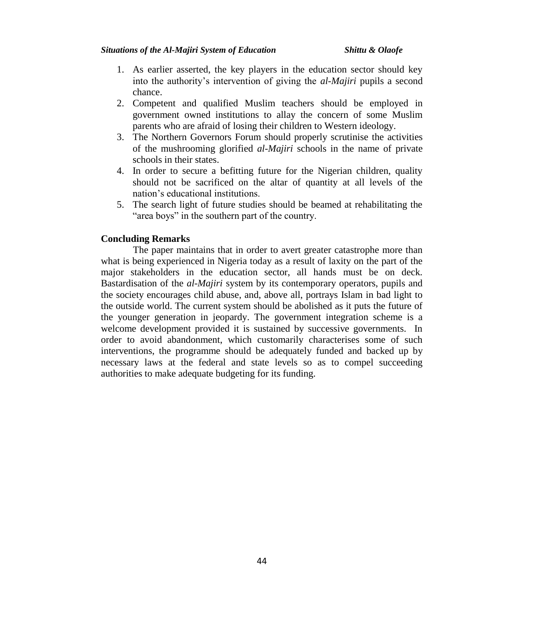#### *Situations of the Al-Majiri System of Education Shittu & Olaofe*

- 1. As earlier asserted, the key players in the education sector should key into the authority"s intervention of giving the *al-Majiri* pupils a second chance.
- 2. Competent and qualified Muslim teachers should be employed in government owned institutions to allay the concern of some Muslim parents who are afraid of losing their children to Western ideology.
- 3. The Northern Governors Forum should properly scrutinise the activities of the mushrooming glorified *al-Majiri* schools in the name of private schools in their states.
- 4. In order to secure a befitting future for the Nigerian children, quality should not be sacrificed on the altar of quantity at all levels of the nation"s educational institutions.
- 5. The search light of future studies should be beamed at rehabilitating the "area boys" in the southern part of the country.

## **Concluding Remarks**

The paper maintains that in order to avert greater catastrophe more than what is being experienced in Nigeria today as a result of laxity on the part of the major stakeholders in the education sector, all hands must be on deck. Bastardisation of the *al-Majiri* system by its contemporary operators, pupils and the society encourages child abuse, and, above all, portrays Islam in bad light to the outside world. The current system should be abolished as it puts the future of the younger generation in jeopardy. The government integration scheme is a welcome development provided it is sustained by successive governments. In order to avoid abandonment, which customarily characterises some of such interventions, the programme should be adequately funded and backed up by necessary laws at the federal and state levels so as to compel succeeding authorities to make adequate budgeting for its funding.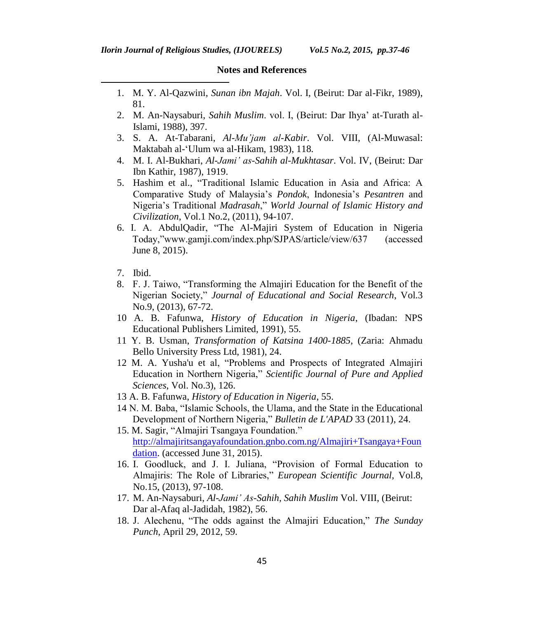## **Notes and References**

- 1. M. Y. Al-Qazwini, *Sunan ibn Majah*. Vol. I, (Beirut: Dar al-Fikr, 1989), 81.
- 2. M. An-Naysaburi, *Sahih Muslim*. vol. I, (Beirut: Dar Ihya" at-Turath al-Islami, 1988), 397.
- 3. S. A. At-Tabarani, *Al-Mu'jam al-Kabir*. Vol. VIII, (Al-Muwasal: Maktabah al-"Ulum wa al-Hikam, 1983), 118.
- 4. M. I. Al-Bukhari, *Al-Jami' as-Sahih al-Mukhtasar*. Vol. IV, (Beirut: Dar Ibn Kathir, 1987), 1919.
- 5. Hashim et al., "Traditional Islamic Education in Asia and Africa: A Comparative Study of Malaysia"s *Pondok*, Indonesia"s *Pesantren* and Nigeria"s Traditional *Madrasah*," *World Journal of Islamic History and Civilization*, Vol.1 No.2, (2011), 94-107.
- 6. I. A. AbdulQadir, "The Al-Majiri System of Education in Nigeria Today,"www.gamji.com/index.php/SJPAS/article/view/637 (accessed June 8, 2015).
- 7. Ibid.

 $\overline{a}$ 

- 8. F. J. Taiwo, "Transforming the Almajiri Education for the Benefit of the Nigerian Society," *Journal of Educational and Social Research*, Vol.3 No.9, (2013), 67-72.
- 10 A. B. Fafunwa, *History of Education in Nigeria*, (Ibadan: NPS Educational Publishers Limited, 1991), 55.
- 11 Y. B. Usman, *Transformation of Katsina 1400-1885*, (Zaria: Ahmadu Bello University Press Ltd, 1981), 24.
- 12 M. A. Yusha'u et al, "Problems and Prospects of Integrated Almajiri Education in Northern Nigeria," *Scientific Journal of Pure and Applied Sciences*, Vol. No.3), 126.
- 13 A. B. Fafunwa, *History of Education in Nigeria*, 55.
- 14 N. M. Baba, "Islamic Schools, the Ulama, and the State in the Educational Development of Northern Nigeria," *Bulletin de L'APAD* 33 (2011), 24.
- 15. M. Sagir, "Almajiri Tsangaya Foundation." [http://almajiritsangayafoundation.gnbo.com.ng/Almajiri+Tsangaya+Foun](http://almajiritsangayafoundation.gnbo.com.ng/Almajiri+Tsangaya+Foundation) [dation.](http://almajiritsangayafoundation.gnbo.com.ng/Almajiri+Tsangaya+Foundation) (accessed June 31, 2015).
- 16. I. Goodluck, and J. I. Juliana, "Provision of Formal Education to Almajiris: The Role of Libraries," *European Scientific Journal,* Vol.8, No.15, (2013), 97-108.
- 17. M. An-Naysaburi, *Al-Jami' As-Sahih, Sahih Muslim* Vol. VIII, (Beirut: Dar al-Afaq al-Jadidah, 1982), 56.
- 18. J. Alechenu, "The odds against the Almajiri Education," *The Sunday Punch*, April 29, 2012, 59.